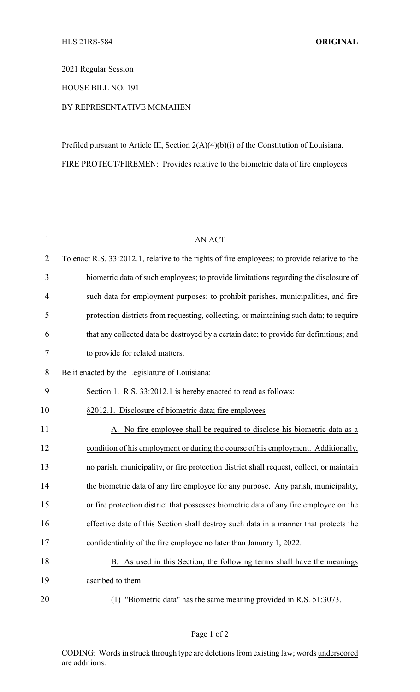2021 Regular Session

HOUSE BILL NO. 191

## BY REPRESENTATIVE MCMAHEN

Prefiled pursuant to Article III, Section 2(A)(4)(b)(i) of the Constitution of Louisiana. FIRE PROTECT/FIREMEN: Provides relative to the biometric data of fire employees

| $\mathbf{1}$   | <b>AN ACT</b>                                                                                 |
|----------------|-----------------------------------------------------------------------------------------------|
| $\overline{2}$ | To enact R.S. 33:2012.1, relative to the rights of fire employees; to provide relative to the |
| 3              | biometric data of such employees; to provide limitations regarding the disclosure of          |
| $\overline{4}$ | such data for employment purposes; to prohibit parishes, municipalities, and fire             |
| 5              | protection districts from requesting, collecting, or maintaining such data; to require        |
| 6              | that any collected data be destroyed by a certain date; to provide for definitions; and       |
| 7              | to provide for related matters.                                                               |
| 8              | Be it enacted by the Legislature of Louisiana:                                                |
| 9              | Section 1. R.S. 33:2012.1 is hereby enacted to read as follows:                               |
| 10             | §2012.1. Disclosure of biometric data; fire employees                                         |
| 11             | A. No fire employee shall be required to disclose his biometric data as a                     |
| 12             | condition of his employment or during the course of his employment. Additionally,             |
| 13             | no parish, municipality, or fire protection district shall request, collect, or maintain      |
| 14             | the biometric data of any fire employee for any purpose. Any parish, municipality,            |
| 15             | or fire protection district that possesses biometric data of any fire employee on the         |
| 16             | effective date of this Section shall destroy such data in a manner that protects the          |
| 17             | confidentiality of the fire employee no later than January 1, 2022.                           |
| 18             | B. As used in this Section, the following terms shall have the meanings                       |
| 19             | ascribed to them:                                                                             |
| 20             | "Biometric data" has the same meaning provided in R.S. 51:3073.<br>(1)                        |

CODING: Words in struck through type are deletions from existing law; words underscored are additions.